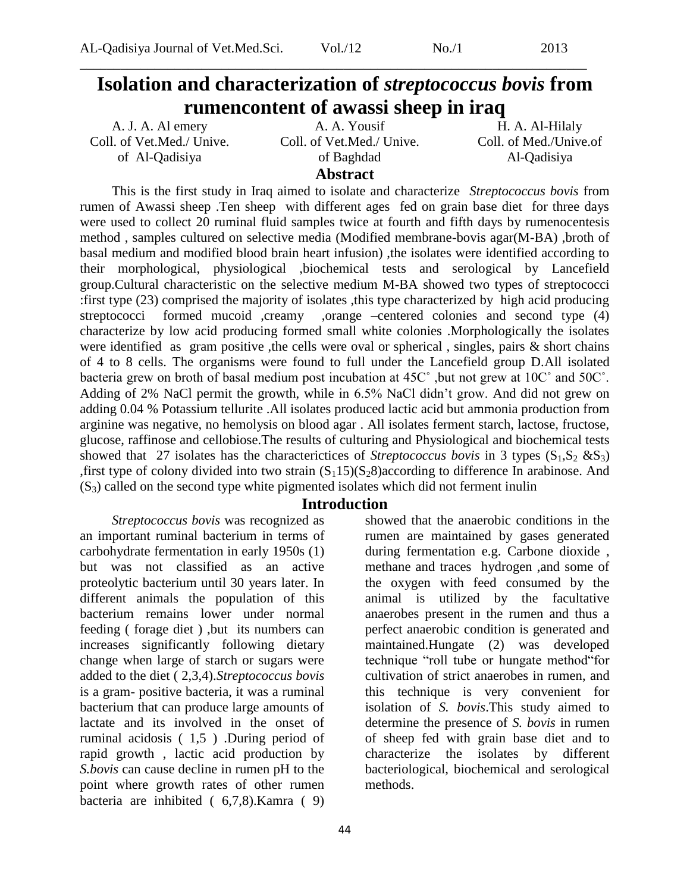## **Isolation and characterization of** *streptococcus bovis* **from rumencontent of awassi sheep in iraq**

\_\_\_\_\_\_\_\_\_\_\_\_\_\_\_\_\_\_\_\_\_\_\_\_\_\_\_\_\_\_\_\_\_\_\_\_\_\_\_\_\_\_\_\_\_\_\_\_\_\_\_\_\_\_\_\_\_\_\_\_\_\_\_\_\_\_\_\_\_\_\_\_\_\_\_

A. J. A. Al emery Coll. of Vet.Med./ Unive. of Al-Qadisiya

A. A. Yousif Coll. of Vet.Med./ Unive. of Baghdad

H. A. Al-Hilaly Coll. of Med./Unive.of Al-Qadisiya

## **Abstract**

This is the first study in Iraq aimed to isolate and characterize *Streptococcus bovis* from rumen of Awassi sheep .Ten sheep with different ages fed on grain base diet for three days were used to collect 20 ruminal fluid samples twice at fourth and fifth days by rumenocentesis method , samples cultured on selective media (Modified membrane-bovis agar(M-BA) ,broth of basal medium and modified blood brain heart infusion) ,the isolates were identified according to their morphological, physiological ,biochemical tests and serological by Lancefield group.Cultural characteristic on the selective medium M-BA showed two types of streptococci :first type (23) comprised the majority of isolates ,this type characterized by high acid producing streptococci formed mucoid ,creamy ,orange –centered colonies and second type (4) characterize by low acid producing formed small white colonies .Morphologically the isolates were identified as gram positive , the cells were oval or spherical, singles, pairs & short chains of 4 to 8 cells. The organisms were found to full under the Lancefield group D.All isolated bacteria grew on broth of basal medium post incubation at 45C˚ ,but not grew at 10C˚ and 50C˚. Adding of 2% NaCl permit the growth, while in 6.5% NaCl didn't grow. And did not grew on adding 0.04 % Potassium tellurite .All isolates produced lactic acid but ammonia production from arginine was negative, no hemolysis on blood agar . All isolates ferment starch, lactose, fructose, glucose, raffinose and cellobiose.The results of culturing and Physiological and biochemical tests showed that 27 isolates has the characterictices of *Streptococcus bovis* in 3 types  $(S_1, S_2 \& S_3)$ , first type of colony divided into two strain  $(S_115)(S_28)$  according to difference In arabinose. And  $(S<sub>3</sub>)$  called on the second type white pigmented isolates which did not ferment inulin

### **Introduction**

*Streptococcus bovis* was recognized as an important ruminal bacterium in terms of carbohydrate fermentation in early 1950s (1) but was not classified as an active proteolytic bacterium until 30 years later. In different animals the population of this bacterium remains lower under normal feeding ( forage diet ) ,but its numbers can increases significantly following dietary change when large of starch or sugars were added to the diet ( 2,3,4).*Streptococcus bovis* is a gram- positive bacteria, it was a ruminal bacterium that can produce large amounts of lactate and its involved in the onset of ruminal acidosis ( 1,5 ) .During period of rapid growth , lactic acid production by *S.bovis* can cause decline in rumen pH to the point where growth rates of other rumen bacteria are inhibited ( 6,7,8).Kamra ( 9) showed that the anaerobic conditions in the rumen are maintained by gases generated during fermentation e.g. Carbone dioxide , methane and traces hydrogen ,and some of the oxygen with feed consumed by the animal is utilized by the facultative anaerobes present in the rumen and thus a perfect anaerobic condition is generated and maintained.Hungate (2) was developed technique "roll tube or hungate method"for cultivation of strict anaerobes in rumen, and this technique is very convenient for isolation of *S. bovis*.This study aimed to determine the presence of *S. bovis* in rumen of sheep fed with grain base diet and to characterize the isolates by different bacteriological, biochemical and serological methods.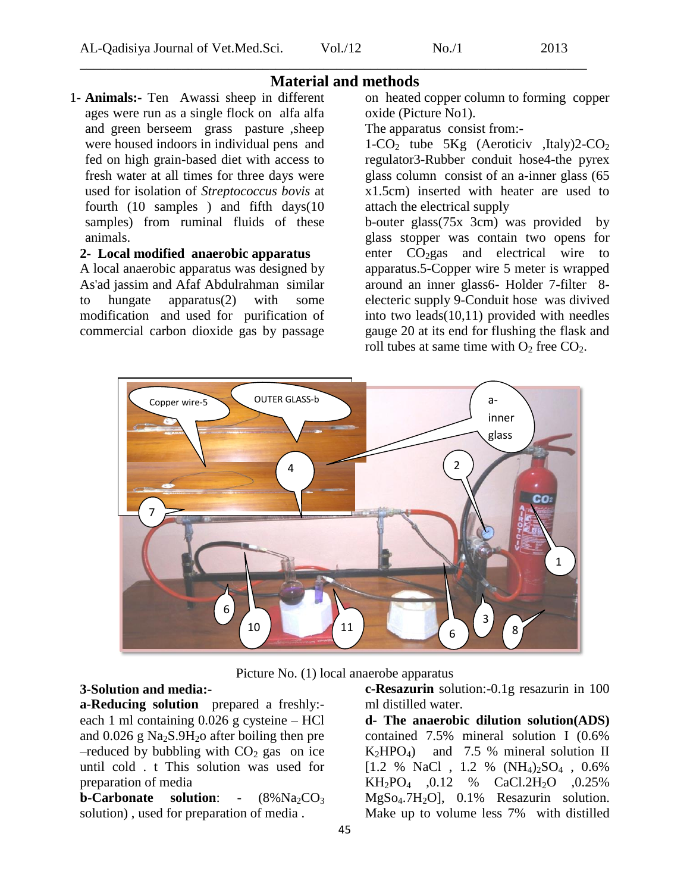## **Material and methods** 1- **Animals:-** Ten Awassi sheep in different ages were run as a single flock on alfa alfa and green berseem grass pasture ,sheep were housed indoors in individual pens and fed on high grain-based diet with access to fresh water at all times for three days were used for isolation of *Streptococcus bovis* at fourth (10 samples ) and fifth days(10 samples) from ruminal fluids of these animals.

#### **2- Local modified anaerobic apparatus**

A local anaerobic apparatus was designed by As'ad jassim and Afaf Abdulrahman similar to hungate apparatus(2) with some modification and used for purification of commercial carbon dioxide gas by passage

on heated copper column to forming copper oxide (Picture No1).

The apparatus consist from:-

1-CO<sub>2</sub> tube 5Kg (Aeroticiv ,Italy)2-CO<sub>2</sub> regulator3-Rubber conduit hose4-the pyrex glass column consist of an a-inner glass (65 x1.5cm) inserted with heater are used to attach the electrical supply

b-outer glass(75x 3cm) was provided by glass stopper was contain two opens for enter  $CO<sub>2</sub>gas$  and electrical wire to apparatus.5-Copper wire 5 meter is wrapped around an inner glass6- Holder 7-filter 8 electeric supply 9-Conduit hose was divived into two leads(10,11) provided with needles gauge 20 at its end for flushing the flask and roll tubes at same time with  $O_2$  free  $CO_2$ .



Picture No. (1) local anaerobe apparatus

## **3-Solution and media:-**

**a-Reducing solution** prepared a freshly: each 1 ml containing 0.026 g cysteine – HCl and  $0.026$  g Na<sub>2</sub>S.9H<sub>2</sub>o after boiling then pre  $-$ reduced by bubbling with  $CO<sub>2</sub>$  gas on ice until cold . t This solution was used for preparation of media

**b-Carbonate solution:**  $-(8\%Na_2CO_3)$ solution) , used for preparation of media .

**c-Resazurin** solution:-0.1g resazurin in 100 ml distilled water.

**d- The anaerobic dilution solution(ADS)** contained 7.5% mineral solution I (0.6%  $K_2HPO_4$  and 7.5 % mineral solution II  $[1.2 \% \text{ NaCl}, 1.2 \% \text{ (NH}_4)_2\text{SO}_4, 0.6\%$  $KH_2PO_4$  , 0.12 % CaCl.2H<sub>2</sub>O , 0.25%  $MgSo<sub>4</sub>.7H<sub>2</sub>O$ ], 0.1% Resazurin solution. Make up to volume less 7% with distilled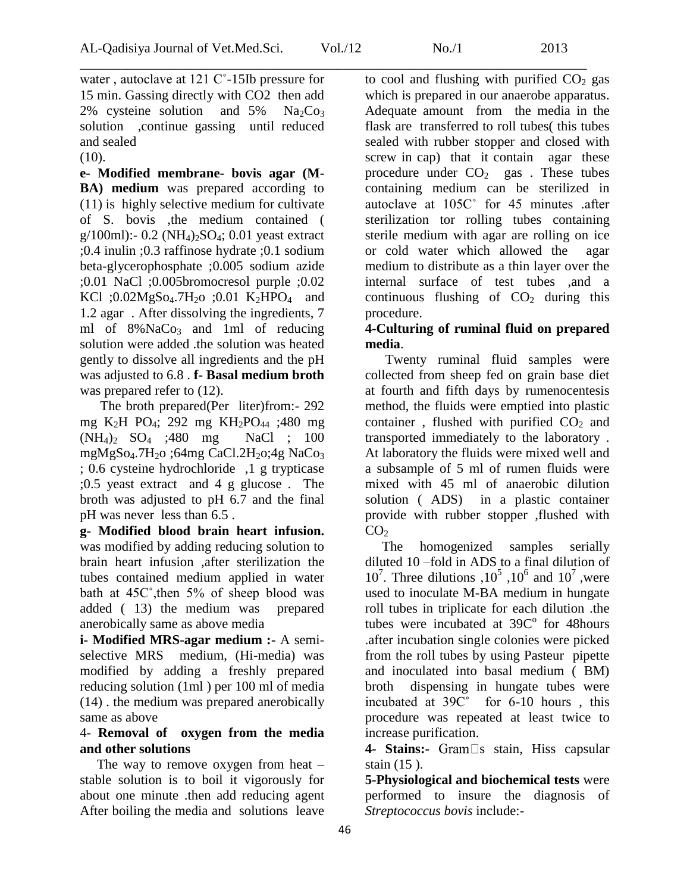\_\_\_\_\_\_\_\_\_\_\_\_\_\_\_\_\_\_\_\_\_\_\_\_\_\_\_\_\_\_\_\_\_\_\_\_\_\_\_\_\_\_\_\_\_\_\_\_\_\_\_\_\_\_\_\_\_\_\_\_\_\_\_\_\_\_\_\_\_\_\_\_\_\_\_ water , autoclave at 121 C˚-15Ib pressure for 15 min. Gassing directly with CO2 then add 2% cysteine solution and  $5\%$  Na<sub>2</sub>Co<sub>3</sub> solution ,continue gassing until reduced and sealed

(10).

**e- Modified membrane- bovis agar (M-BA) medium** was prepared according to (11) is highly selective medium for cultivate of S. bovis ,the medium contained (  $g/100ml$ :- 0.2 (NH<sub>4</sub>)<sub>2</sub>SO<sub>4</sub>; 0.01 yeast extract ;0.4 inulin ;0.3 raffinose hydrate ;0.1 sodium beta-glycerophosphate ;0.005 sodium azide ;0.01 NaCl ;0.005bromocresol purple ;0.02 KCl ;0.02MgSo<sub>4</sub>.7H<sub>2</sub>o ;0.01 K<sub>2</sub>HPO<sub>4</sub> and 1.2 agar . After dissolving the ingredients, 7 ml of 8%NaCo<sub>3</sub> and 1ml of reducing solution were added .the solution was heated gently to dissolve all ingredients and the pH was adjusted to 6.8 . **f- Basal medium broth**  was prepared refer to  $(12)$ .

 The broth prepared(Per liter)from:- 292 mg K2H PO4; 292 mg KH2PO<sup>44</sup> ;480 mg  $(NH_4)$ <sub>2</sub>  $SO_4$  ; 480 mg NaCl ; 100 mgMgSo<sub>4</sub>.7H<sub>2</sub>o ;64mg CaCl.2H<sub>2</sub>o;4g NaCo<sub>3</sub> ; 0.6 cysteine hydrochloride ,1 g trypticase ;0.5 yeast extract and 4 g glucose . The broth was adjusted to pH 6.7 and the final pH was never less than 6.5 .

**g- Modified blood brain heart infusion.**  was modified by adding reducing solution to brain heart infusion ,after sterilization the tubes contained medium applied in water bath at 45C˚,then 5% of sheep blood was added ( 13) the medium was prepared anerobically same as above media

**i- Modified MRS-agar medium :-** A semiselective MRS medium, (Hi-media) was modified by adding a freshly prepared reducing solution (1ml ) per 100 ml of media (14) . the medium was prepared anerobically same as above

## 4- **Removal of oxygen from the media and other solutions**

The way to remove oxygen from heat  $$ stable solution is to boil it vigorously for about one minute .then add reducing agent After boiling the media and solutions leave to cool and flushing with purified  $CO<sub>2</sub>$  gas which is prepared in our anaerobe apparatus. Adequate amount from the media in the flask are transferred to roll tubes( this tubes sealed with rubber stopper and closed with screw in cap) that it contain agar these procedure under  $CO<sub>2</sub>$  gas. These tubes containing medium can be sterilized in autoclave at 105C˚ for 45 minutes .after sterilization tor rolling tubes containing sterile medium with agar are rolling on ice or cold water which allowed the agar medium to distribute as a thin layer over the internal surface of test tubes ,and a continuous flushing of  $CO<sub>2</sub>$  during this procedure.

## **4-Culturing of ruminal fluid on prepared media**.

 Twenty ruminal fluid samples were collected from sheep fed on grain base diet at fourth and fifth days by rumenocentesis method, the fluids were emptied into plastic container, flushed with purified  $CO<sub>2</sub>$  and transported immediately to the laboratory . At laboratory the fluids were mixed well and a subsample of 5 ml of rumen fluids were mixed with 45 ml of anaerobic dilution solution ( ADS) in a plastic container provide with rubber stopper ,flushed with  $CO<sub>2</sub>$ 

 The homogenized samples serially diluted 10 –fold in ADS to a final dilution of  $10^7$ . Three dilutions ,  $10^5$ ,  $10^6$  and  $10^7$ , were used to inoculate M-BA medium in hungate roll tubes in triplicate for each dilution .the tubes were incubated at  $39C<sup>o</sup>$  for 48 hours .after incubation single colonies were picked from the roll tubes by using Pasteur pipette and inoculated into basal medium ( BM) broth dispensing in hungate tubes were incubated at 39C˚ for 6-10 hours , this procedure was repeated at least twice to increase purification.

4- **Stains:-** Gram<sup>1</sup>s stain, Hiss capsular stain (15 ).

**5-Physiological and biochemical tests** were performed to insure the diagnosis of *Streptococcus bovis* include:-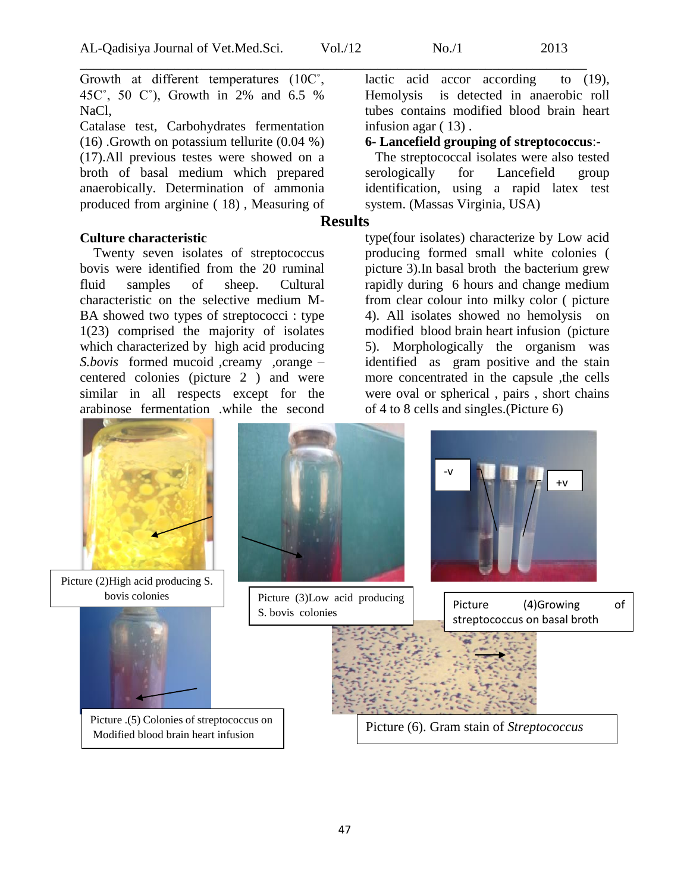Growth at different temperatures (10C˚, 45C˚, 50 C˚), Growth in 2% and 6.5 % NaCl,

Catalase test, Carbohydrates fermentation (16) .Growth on potassium tellurite (0.04 %) (17).All previous testes were showed on a broth of basal medium which prepared anaerobically. Determination of ammonia produced from arginine ( 18) , Measuring of

#### **Culture characteristic**

 Twenty seven isolates of streptococcus bovis were identified from the 20 ruminal fluid samples of sheep. Cultural characteristic on the selective medium M-BA showed two types of streptococci : type 1(23) comprised the majority of isolates which characterized by high acid producing *S.bovis* formed mucoid ,creamy ,orange – centered colonies (picture 2 ) and were similar in all respects except for the arabinose fermentation .while the second



Picture (2)High acid producing S.



bovis colonies <br>Picture (3)Low acid producing S. bovis colonies



Picture (4)Growing of streptococcus on basal broth



Picture .(5) Colonies of streptococcus on Modified blood brain heart infusion

Picture (6). Gram stain of *Streptococcus* 

lactic acid accor according to (19), Hemolysis is detected in anaerobic roll tubes contains modified blood brain heart infusion agar ( 13) .

#### **6- Lancefield grouping of streptococcus**:-

 The streptococcal isolates were also tested serologically for Lancefield group identification, using a rapid latex test system. (Massas Virginia, USA)

## **Results**

type(four isolates) characterize by Low acid producing formed small white colonies ( picture 3).In basal broth the bacterium grew rapidly during 6 hours and change medium from clear colour into milky color ( picture 4). All isolates showed no hemolysis on modified blood brain heart infusion (picture 5). Morphologically the organism was identified as gram positive and the stain more concentrated in the capsule ,the cells were oval or spherical , pairs , short chains of 4 to 8 cells and singles.(Picture 6)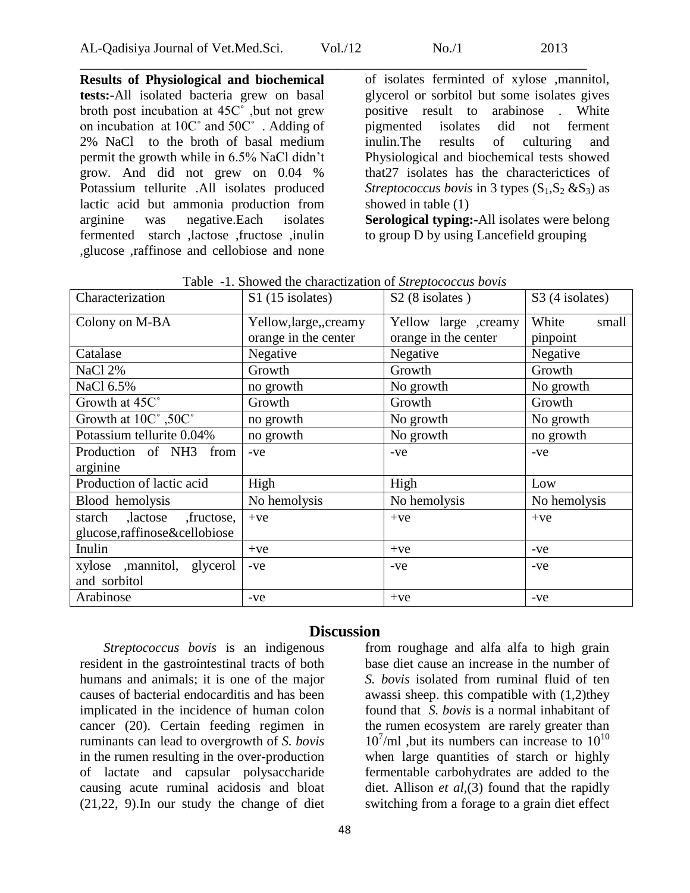**Results of Physiological and biochemical tests:-**All isolated bacteria grew on basal broth post incubation at 45C˚ ,but not grew on incubation at 10C˚ and 50C˚ . Adding of 2% NaCl to the broth of basal medium permit the growth while in 6.5% NaCl didn't grow. And did not grew on 0.04 % Potassium tellurite .All isolates produced lactic acid but ammonia production from arginine was negative.Each isolates fermented starch ,lactose ,fructose ,inulin ,glucose ,raffinose and cellobiose and none

of isolates ferminted of xylose ,mannitol, glycerol or sorbitol but some isolates gives positive result to arabinose . White pigmented isolates did not ferment inulin.The results of culturing and Physiological and biochemical tests showed that27 isolates has the characterictices of *Streptococcus bovis* in 3 types  $(S_1, S_2, \& S_3)$  as showed in table (1) **Serological typing:-**All isolates were belong

to group D by using Lancefield grouping

| Characterization               | S1 (15 isolates)       | S <sub>2</sub> (8 isolates) | S <sub>3</sub> (4 isolates) |
|--------------------------------|------------------------|-----------------------------|-----------------------------|
| Colony on M-BA                 | Yellow, large,, creamy | Yellow large ,creamy        | White<br>small              |
|                                | orange in the center   | orange in the center        | pinpoint                    |
| Catalase                       | Negative               | Negative                    | Negative                    |
| NaCl 2%                        | Growth                 | Growth                      | Growth                      |
| NaCl 6.5%                      | no growth              | No growth                   | No growth                   |
| Growth at 45C°                 | Growth                 | Growth                      | Growth                      |
| Growth at 10C°,50C°            | no growth              | No growth                   | No growth                   |
| Potassium tellurite 0.04%      | no growth              | No growth                   | no growth                   |
| Production of NH3<br>from      | $-ve$                  | -ve                         | $-ve$                       |
| arginine                       |                        |                             |                             |
| Production of lactic acid      | High                   | High                        | Low                         |
| Blood hemolysis                | No hemolysis           | No hemolysis                | No hemolysis                |
| starch ,lactose<br>, fructose, | $+ve$                  | $+ve$                       | $+ve$                       |
| glucose,raffinose&cellobiose   |                        |                             |                             |
| Inulin                         | $+ve$                  | $+ve$                       | $-ve$                       |
| xylose ,mannitol, glycerol     | $-ve$                  | -ve                         | $-ve$                       |
| and sorbitol                   |                        |                             |                             |
| Arabinose                      | -ve                    | $+ve$                       | $-ve$                       |

Table -1. Showed the charactization of *Streptococcus bovis*

## **Discussion**

 *Streptococcus bovis* is an indigenous resident in the gastrointestinal tracts of both humans and animals; it is one of the major causes of bacterial endocarditis and has been implicated in the incidence of human colon cancer (20). Certain feeding regimen in ruminants can lead to overgrowth of *S. bovis* in the rumen resulting in the over-production of lactate and capsular polysaccharide causing acute ruminal acidosis and bloat (21,22, 9).In our study the change of diet

from roughage and alfa alfa to high grain base diet cause an increase in the number of *S. bovis* isolated from ruminal fluid of ten awassi sheep. this compatible with (1,2)they found that *S. bovis* is a normal inhabitant of the rumen ecosystem are rarely greater than  $10^{7}$ /ml ,but its numbers can increase to  $10^{10}$ when large quantities of starch or highly fermentable carbohydrates are added to the diet. Allison *et al,*(3) found that the rapidly switching from a forage to a grain diet effect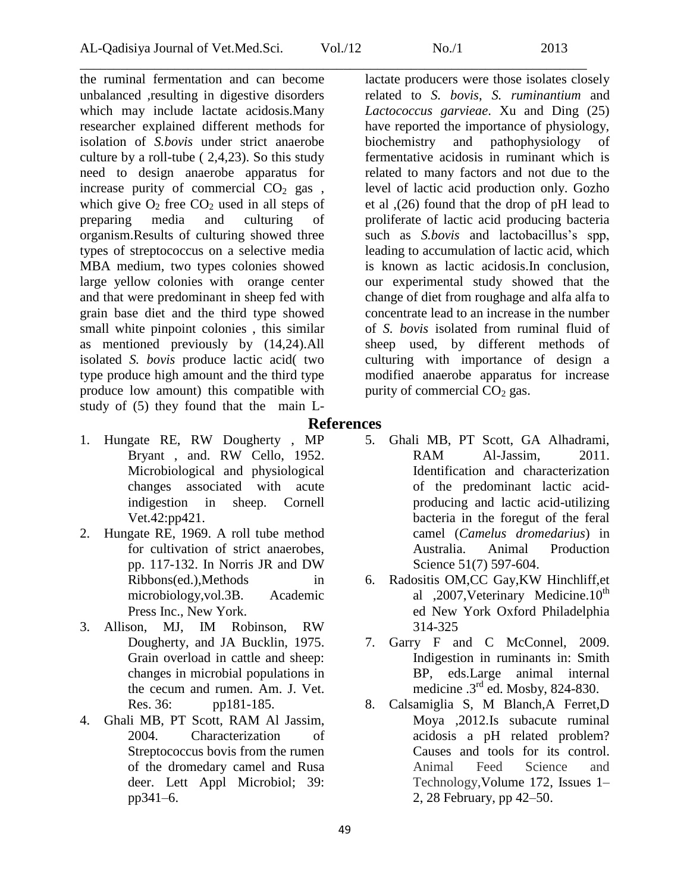\_\_\_\_\_\_\_\_\_\_\_\_\_\_\_\_\_\_\_\_\_\_\_\_\_\_\_\_\_\_\_\_\_\_\_\_\_\_\_\_\_\_\_\_\_\_\_\_\_\_\_\_\_\_\_\_\_\_\_\_\_\_\_\_\_\_\_\_\_\_\_\_\_\_\_ the ruminal fermentation and can become unbalanced ,resulting in digestive disorders which may include lactate acidosis.Many researcher explained different methods for isolation of *S.bovis* under strict anaerobe culture by a roll-tube ( 2,4,23). So this study need to design anaerobe apparatus for increase purity of commercial  $CO<sub>2</sub>$  gas, which give  $O_2$  free  $CO_2$  used in all steps of preparing media and culturing of organism.Results of culturing showed three types of streptococcus on a selective media MBA medium, two types colonies showed large yellow colonies with orange center and that were predominant in sheep fed with grain base diet and the third type showed small white pinpoint colonies , this similar as mentioned previously by (14,24).All isolated *S. bovis* produce lactic acid( two type produce high amount and the third type produce low amount) this compatible with study of (5) they found that the main L-

- lactate producers were those isolates closely related to *S. bovis*, *S. ruminantium* and *Lactococcus garvieae*. Xu and Ding (25) have reported the importance of physiology, biochemistry and pathophysiology of fermentative acidosis in ruminant which is related to many factors and not due to the level of lactic acid production only. Gozho et al ,(26) found that the drop of pH lead to proliferate of lactic acid producing bacteria such as *S.bovis* and lactobacillus's spp, leading to accumulation of lactic acid, which is known as lactic acidosis.In conclusion, our experimental study showed that the change of diet from roughage and alfa alfa to concentrate lead to an increase in the number of *S. bovis* isolated from ruminal fluid of sheep used, by different methods of culturing with importance of design a modified anaerobe apparatus for increase purity of commercial  $CO<sub>2</sub>$  gas.
- **References**
- 1. Hungate RE, RW Dougherty , MP Bryant , and. RW Cello, 1952. Microbiological and physiological changes associated with acute indigestion in sheep. Cornell Vet.42:pp421.
- 2. Hungate RE, 1969. A roll tube method for cultivation of strict anaerobes, pp. 117-132. In Norris JR and DW Ribbons(ed.),Methods in microbiology,vol.3B. Academic Press Inc., New York.
- 3. Allison, MJ, IM Robinson, RW Dougherty, and JA Bucklin, 1975. Grain overload in cattle and sheep: changes in microbial populations in the cecum and rumen. Am. J. Vet. Res. 36: pp181-185.
- 4. Ghali MB, PT Scott, RAM Al Jassim, 2004. Characterization of Streptococcus bovis from the rumen of the dromedary camel and Rusa deer. Lett Appl Microbiol; 39: pp341–6.
- - 5. Ghali MB, PT Scott, GA Alhadrami, RAM Al-Jassim, 2011. Identification and characterization of the predominant lactic acidproducing and lactic acid-utilizing bacteria in the foregut of the feral camel (*Camelus dromedarius*) in Australia. Animal Production Science 51(7) 597-604.
	- 6. Radositis OM,CC Gay,KW Hinchliff,et al ,2007, Veterinary Medicine. $10^{th}$ ed New York Oxford Philadelphia 314-325
	- 7. Garry F and C McConnel, 2009. Indigestion in ruminants in: Smith BP, eds.Large animal internal medicine .3<sup>rd</sup> ed. Mosby, 824-830.
	- 8. Calsamiglia S, M Blanch,A Ferret,D Moya ,2012.Is subacute ruminal acidosis a pH related problem? Causes and tools for its control. Animal Feed [Science](http://www.sciencedirect.com/science/journal/03778401) and [Technology,](http://www.sciencedirect.com/science/journal/03778401)[Volume 172, Issues 1–](http://www.sciencedirect.com/science/journal/03778401/172/1) [2,](http://www.sciencedirect.com/science/journal/03778401/172/1) 28 February, pp 42–50.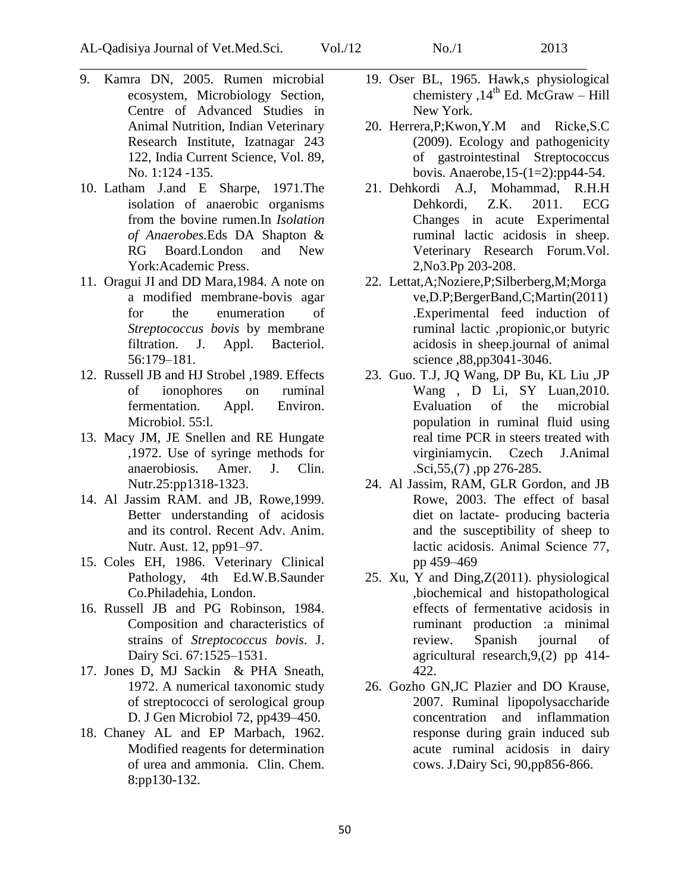- 9. Kamra DN, 2005. Rumen microbial ecosystem, Microbiology Section, Centre of Advanced Studies in Animal Nutrition, Indian Veterinary Research Institute, Izatnagar 243 122, India Current Science, Vol. 89, No. 1:124 -135.
- 10. Latham J.and E Sharpe, 1971.The isolation of anaerobic organisms from the bovine rumen.In *Isolation of Anaerobes.*Eds DA Shapton & RG Board.London and New York:Academic Press.
- 11. Oragui JI and DD Mara,1984. A note on a modified membrane-bovis agar for the enumeration of *Streptococcus bovis* by membrane filtration. J. Appl. Bacteriol. 56:179–181.
- 12. Russell JB and HJ Strobel ,1989. Effects of ionophores on ruminal fermentation. Appl. Environ. Microbiol. 55:l.
- 13. Macy JM, JE Snellen and RE Hungate ,1972. Use of syringe methods for anaerobiosis. Amer. J. Clin. Nutr.25:pp1318-1323.
- 14. Al Jassim RAM. and JB, Rowe,1999. Better understanding of acidosis and its control. Recent Adv. Anim. Nutr. Aust. 12, pp91–97.
- 15. Coles EH, 1986. Veterinary Clinical Pathology, 4th Ed.W.B.Saunder Co.Philadehia, London.
- 16. Russell JB and PG Robinson, 1984. Composition and characteristics of strains of *Streptococcus bovis*. J. Dairy Sci. 67:1525–1531.
- 17. Jones D, MJ Sackin & PHA Sneath, 1972. A numerical taxonomic study of streptococci of serological group D. J Gen Microbiol 72, pp439–450.
- 18. Chaney AL and EP Marbach, 1962. Modified reagents for determination of urea and ammonia. Clin. Chem. 8:pp130-132.
- 19. Oser BL, 1965. Hawk,s physiological chemistery ,  $14<sup>th</sup>$  Ed. McGraw – Hill New York.
- 20. Herrera,P;Kwon,Y.M and Ricke,S.C (2009). Ecology and pathogenicity of gastrointestinal Streptococcus bovis. Anaerobe[,15-\(1=2\):pp44-54.](http://pubget.com/search?q=issn%3A1075-9964+vol%3A15+issue%3A1-2&from=19100852)
- 21. Dehkordi A.J, Mohammad, R.H.H Dehkordi, Z.K. 2011. ECG Changes in acute Experimental ruminal lactic acidosis in sheep. Veterinary Research Forum.Vol. 2,No3.Pp 203-208.
- 22. Lettat,A;Noziere,P;Silberberg,M;Morga ve,D.P;BergerBand,C;Martin(2011) .Experimental feed induction of ruminal lactic ,propionic,or butyric acidosis in sheep.journal of animal science ,88,pp3041-3046.
- 23. Guo. T.J, JQ Wang, DP Bu, KL Liu ,JP Wang , D Li, SY Luan,2010. Evaluation of the microbial population in ruminal fluid using real time PCR in steers treated with virginiamycin. Czech J.Animal .Sci,55,(7) ,pp 276-285.
- 24. Al Jassim, RAM, GLR Gordon, and JB Rowe, 2003. The effect of basal diet on lactate- producing bacteria and the susceptibility of sheep to lactic acidosis. Animal Science 77, pp 459–469
- 25. Xu, Y and Ding,Z(2011). physiological ,biochemical and histopathological effects of fermentative acidosis in ruminant production :a minimal review. Spanish journal of agricultural research,9,(2) pp 414- 422.
- 26. Gozho GN,JC Plazier and DO Krause, 2007. Ruminal lipopolysaccharide concentration and inflammation response during grain induced sub acute ruminal acidosis in dairy cows. J.Dairy Sci, 90,pp856-866.